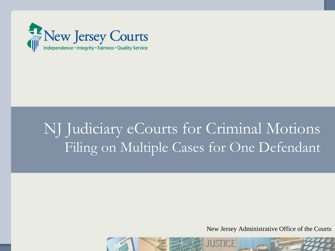

# NJ Judiciary eCourts for Criminal Motions Filing on Multiple Cases for One Defendant

New Jersey Administrative Office of the Courts

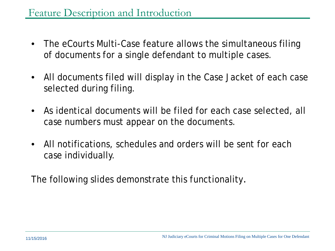- The eCourts Multi-Case feature allows the simultaneous filing of documents for a single defendant to multiple cases.
- All documents filed will display in the Case Jacket of each case selected during filing.
- As identical documents will be filed for each case selected, all case numbers must appear on the documents.
- All notifications, schedules and orders will be sent for each case individually.

The following slides demonstrate this functionality.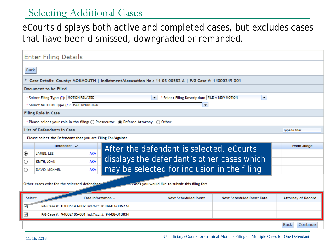#### Selecting Additional Cases

#### eCourts displays both active and completed cases, but excludes cases that have been dismissed, downgraded or remanded.

| <b>Enter Filing Details</b>                                                                                              |                                                     |                         |                                              |                                                 |                                  |                           |  |  |  |  |  |
|--------------------------------------------------------------------------------------------------------------------------|-----------------------------------------------------|-------------------------|----------------------------------------------|-------------------------------------------------|----------------------------------|---------------------------|--|--|--|--|--|
|                                                                                                                          | <b>Back</b>                                         |                         |                                              |                                                 |                                  |                           |  |  |  |  |  |
| Case Details: County: MONMOUTH   Indictment/Accusation No.: 14-03-00582-A   P/G Case #: 14000249-001                     |                                                     |                         |                                              |                                                 |                                  |                           |  |  |  |  |  |
| Document to be Filed                                                                                                     |                                                     |                         |                                              |                                                 |                                  |                           |  |  |  |  |  |
| * Select Filing Type (?): MOTION RELATED<br>* Select Filing Description: FILE A NEW MOTION<br>$\blacktriangledown$<br>▼. |                                                     |                         |                                              |                                                 |                                  |                           |  |  |  |  |  |
| * Select MOTION Type (?): BAIL REDUCTION<br>$\blacktriangledown$                                                         |                                                     |                         |                                              |                                                 |                                  |                           |  |  |  |  |  |
| <b>Filing Role in Case</b>                                                                                               |                                                     |                         |                                              |                                                 |                                  |                           |  |  |  |  |  |
| * Please select your role in the filing: $\bigcirc$ Prosecutor (a) Defense Attorney $\bigcirc$ Other                     |                                                     |                         |                                              |                                                 |                                  |                           |  |  |  |  |  |
| <b>List of Defendants in Case</b>                                                                                        |                                                     |                         |                                              |                                                 |                                  |                           |  |  |  |  |  |
| Please select the Defendant that you are Filing For/Against.                                                             |                                                     |                         |                                              |                                                 |                                  |                           |  |  |  |  |  |
|                                                                                                                          |                                                     |                         |                                              |                                                 |                                  |                           |  |  |  |  |  |
|                                                                                                                          | Defendant $\vee$                                    |                         |                                              |                                                 |                                  | <b>Event Judge</b>        |  |  |  |  |  |
| ◉                                                                                                                        | JAMES, LEE                                          | <b>AKA</b>              | After the defendant is selected, eCourts     |                                                 |                                  |                           |  |  |  |  |  |
| O                                                                                                                        | SMITH, JOAN                                         | <b>AKA</b>              | displays the defendant's other cases which   |                                                 |                                  |                           |  |  |  |  |  |
| O                                                                                                                        | DAVID, MICHAEL                                      | AKA                     | may be selected for inclusion in the filing. |                                                 |                                  |                           |  |  |  |  |  |
|                                                                                                                          |                                                     |                         |                                              |                                                 |                                  |                           |  |  |  |  |  |
|                                                                                                                          | Other cases exist for the selected defendant        |                         |                                              | cases you would like to submit this filing for: |                                  |                           |  |  |  |  |  |
| Select                                                                                                                   |                                                     | Case Information $\div$ |                                              | <b>Next Scheduled Event</b>                     | <b>Next Scheduled Event Date</b> | <b>Attorney of Record</b> |  |  |  |  |  |
| $\checkmark$                                                                                                             | P/G Case #: 03005143-002 Ind./Acc. #: 04-03-00627-I |                         |                                              |                                                 |                                  |                           |  |  |  |  |  |
| ✔                                                                                                                        | P/G Case #: 94002105-001 Ind./Acc. #: 94-08-01303-1 |                         |                                              |                                                 |                                  |                           |  |  |  |  |  |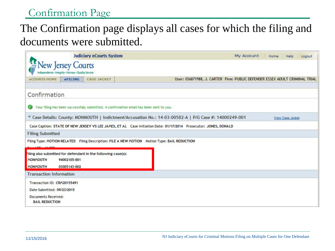### Confirmation Page

## The Confirmation page displays all cases for which the filing and documents were submitted.

|                                                                                                                                 |                                                                         | <b>Judiciary eCourts System</b> |                                                                                                                  | My Account Home Help<br>Logout |  |  |  |
|---------------------------------------------------------------------------------------------------------------------------------|-------------------------------------------------------------------------|---------------------------------|------------------------------------------------------------------------------------------------------------------|--------------------------------|--|--|--|
|                                                                                                                                 | <b>New Jersey Courts</b><br>ce - Integrity - Fairness - Quality Service |                                 |                                                                                                                  |                                |  |  |  |
| eCOURTS HOME                                                                                                                    | eFILING                                                                 | <b>CASE JACKET</b>              | User: 036871988, J. CARTER Firm: PUBLIC DEFENDER ESSEX ADULT CRIMINAL TRIAL                                      |                                |  |  |  |
| Confirmation                                                                                                                    |                                                                         |                                 |                                                                                                                  |                                |  |  |  |
|                                                                                                                                 |                                                                         |                                 | Your filing has been successfully submitted. A confirmation email has been sent to you.                          |                                |  |  |  |
| Case Details: County: MONMOUTH   Indictment/Accusation No.: 14-03-00582-A   P/G Case #: 14000249-001<br><b>View Case Jacket</b> |                                                                         |                                 |                                                                                                                  |                                |  |  |  |
|                                                                                                                                 |                                                                         |                                 | Case Caption: STATE OF NEW JERSEY VS LEE JAMES, ET AL Case Initiation Date: 01/17/2014 Prosecutor: JONES, DONALD |                                |  |  |  |
| <b>Filing Submitted</b>                                                                                                         |                                                                         |                                 |                                                                                                                  |                                |  |  |  |
|                                                                                                                                 |                                                                         |                                 | Filing Type: MOTION RELATED Filing Description: FILE A NEW MOTION Motion Type: BAIL REDUCTION                    |                                |  |  |  |
| Filing also submitted for defendant in the following case(s):<br><b>MONMOUTH</b><br><b>MONMOUTH</b>                             | 94002105-001<br>03005143-002                                            |                                 |                                                                                                                  |                                |  |  |  |
| <b>Transaction Information</b>                                                                                                  |                                                                         |                                 |                                                                                                                  |                                |  |  |  |
| Transaction ID: CRM20155491<br>Date Submitted: 09/23/2015<br>Documents Received:<br><b>BAIL REDUCTION</b>                       |                                                                         |                                 |                                                                                                                  |                                |  |  |  |